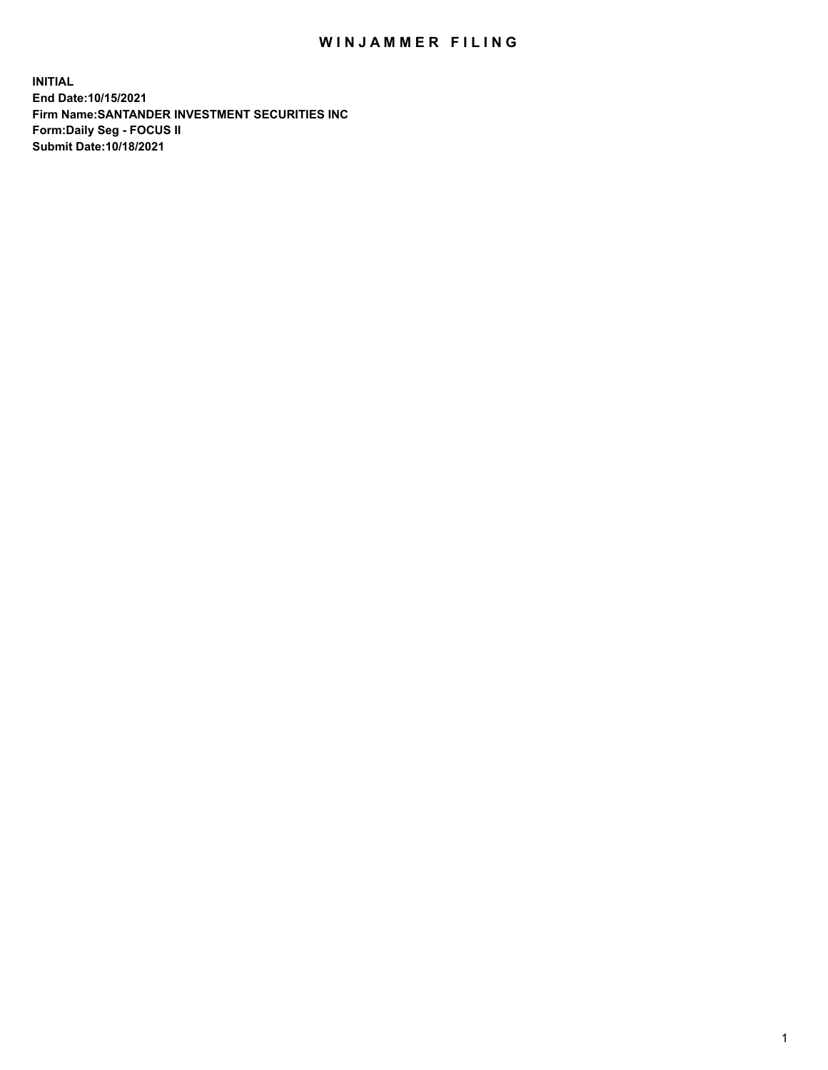## WIN JAMMER FILING

**INITIAL End Date:10/15/2021 Firm Name:SANTANDER INVESTMENT SECURITIES INC Form:Daily Seg - FOCUS II Submit Date:10/18/2021**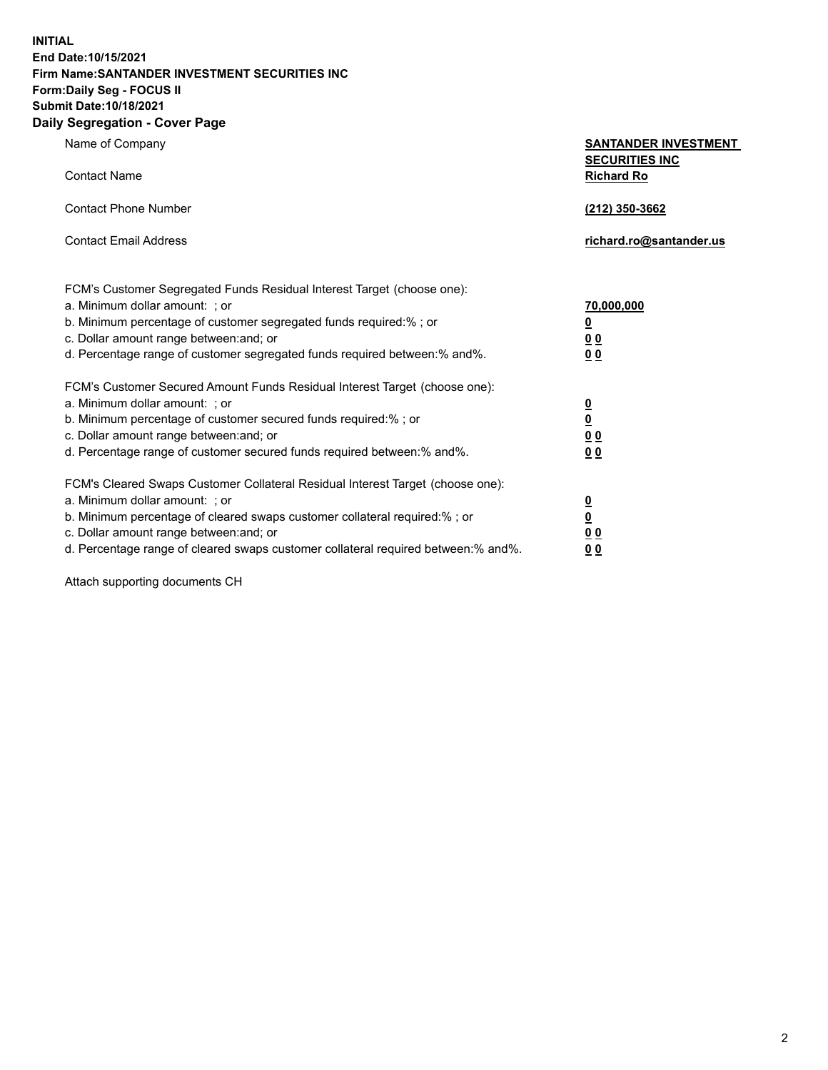**INITIAL End Date:10/15/2021 Firm Name:SANTANDER INVESTMENT SECURITIES INC Form:Daily Seg - FOCUS II Submit Date:10/18/2021 Daily Segregation - Cover Page**

Name of Company **SANTANDER INVESTMENT SECURITIES INC** Contact Name **Richard Ro** Contact Phone Number **(212) 350-3662** Contact Email Address **richard.ro@santander.us** FCM's Customer Segregated Funds Residual Interest Target (choose one): a. Minimum dollar amount: ; or **70,000,000** b. Minimum percentage of customer segregated funds required:% ; or **0** c. Dollar amount range between:and; or **0 0** d. Percentage range of customer segregated funds required between:% and%. **0 0** FCM's Customer Secured Amount Funds Residual Interest Target (choose one): a. Minimum dollar amount: ; or **0** b. Minimum percentage of customer secured funds required:% ; or **0** c. Dollar amount range between:and; or **0 0** d. Percentage range of customer secured funds required between:% and%. **0 0** FCM's Cleared Swaps Customer Collateral Residual Interest Target (choose one): a. Minimum dollar amount: ; or **0** b. Minimum percentage of cleared swaps customer collateral required:% ; or **0** c. Dollar amount range between:and; or **0 0** d. Percentage range of cleared swaps customer collateral required between:% and%. **0 0**

Attach supporting documents CH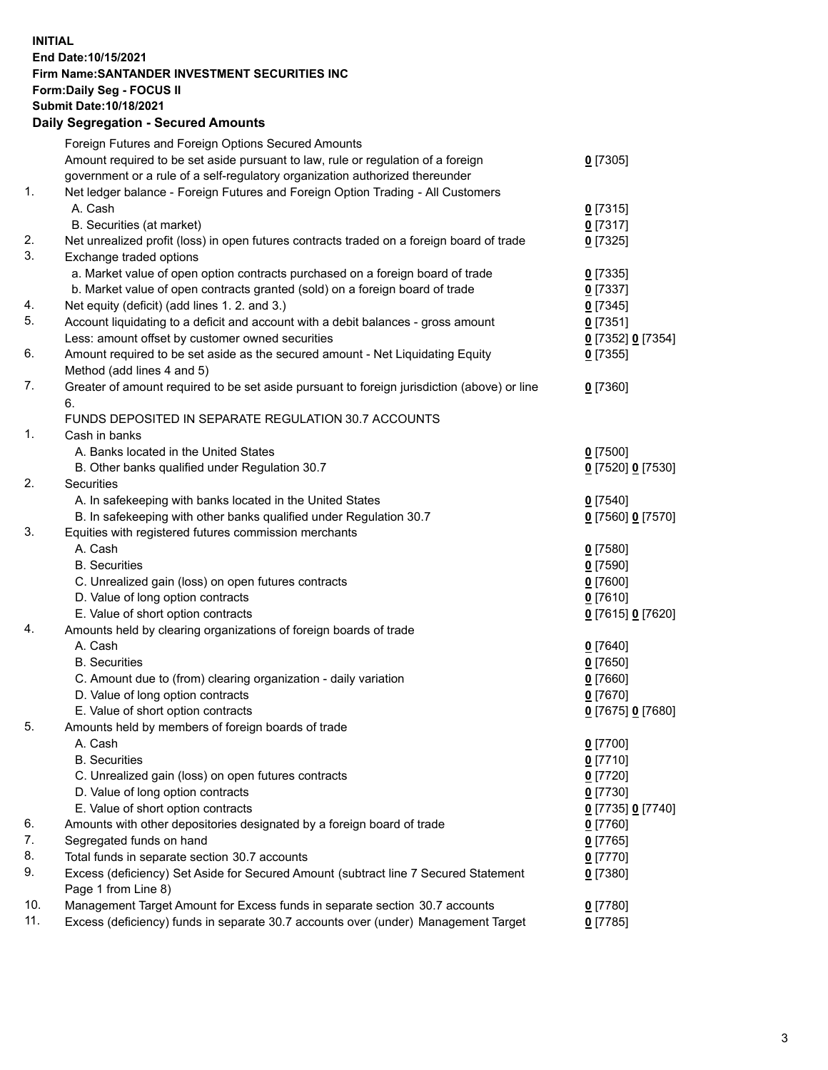## **INITIAL End Date:10/15/2021 Firm Name:SANTANDER INVESTMENT SECURITIES INC Form:Daily Seg - FOCUS II Submit Date:10/18/2021 Daily Segregation - Secured Amounts**

|     | Foreign Futures and Foreign Options Secured Amounts                                         |                   |
|-----|---------------------------------------------------------------------------------------------|-------------------|
|     | Amount required to be set aside pursuant to law, rule or regulation of a foreign            | $0$ [7305]        |
|     | government or a rule of a self-regulatory organization authorized thereunder                |                   |
| 1.  | Net ledger balance - Foreign Futures and Foreign Option Trading - All Customers             |                   |
|     | A. Cash                                                                                     | $0$ [7315]        |
|     | B. Securities (at market)                                                                   | $0$ [7317]        |
| 2.  | Net unrealized profit (loss) in open futures contracts traded on a foreign board of trade   | $0$ [7325]        |
| 3.  | Exchange traded options                                                                     |                   |
|     | a. Market value of open option contracts purchased on a foreign board of trade              | $0$ [7335]        |
|     | b. Market value of open contracts granted (sold) on a foreign board of trade                | $0$ [7337]        |
| 4.  | Net equity (deficit) (add lines 1. 2. and 3.)                                               | $0$ [7345]        |
| 5.  | Account liquidating to a deficit and account with a debit balances - gross amount           | $0$ [7351]        |
|     | Less: amount offset by customer owned securities                                            | 0 [7352] 0 [7354] |
| 6.  | Amount required to be set aside as the secured amount - Net Liquidating Equity              | $0$ [7355]        |
|     | Method (add lines 4 and 5)                                                                  |                   |
| 7.  | Greater of amount required to be set aside pursuant to foreign jurisdiction (above) or line | $0$ [7360]        |
|     | 6.                                                                                          |                   |
|     | FUNDS DEPOSITED IN SEPARATE REGULATION 30.7 ACCOUNTS                                        |                   |
| 1.  | Cash in banks                                                                               |                   |
|     | A. Banks located in the United States                                                       | $0$ [7500]        |
|     | B. Other banks qualified under Regulation 30.7                                              | 0 [7520] 0 [7530] |
| 2.  | Securities                                                                                  |                   |
|     | A. In safekeeping with banks located in the United States                                   | $0$ [7540]        |
|     | B. In safekeeping with other banks qualified under Regulation 30.7                          | 0 [7560] 0 [7570] |
| 3.  | Equities with registered futures commission merchants                                       |                   |
|     | A. Cash                                                                                     | $0$ [7580]        |
|     | <b>B.</b> Securities                                                                        | $0$ [7590]        |
|     | C. Unrealized gain (loss) on open futures contracts                                         | $0$ [7600]        |
|     | D. Value of long option contracts                                                           | $0$ [7610]        |
|     | E. Value of short option contracts                                                          | 0 [7615] 0 [7620] |
| 4.  | Amounts held by clearing organizations of foreign boards of trade                           |                   |
|     | A. Cash                                                                                     | $0$ [7640]        |
|     | <b>B.</b> Securities                                                                        | $0$ [7650]        |
|     | C. Amount due to (from) clearing organization - daily variation                             | $0$ [7660]        |
|     | D. Value of long option contracts                                                           | $0$ [7670]        |
|     | E. Value of short option contracts                                                          | 0 [7675] 0 [7680] |
| 5.  | Amounts held by members of foreign boards of trade                                          |                   |
|     | A. Cash                                                                                     | $0$ [7700]        |
|     | <b>B.</b> Securities                                                                        | $0$ [7710]        |
|     | C. Unrealized gain (loss) on open futures contracts                                         | $0$ [7720]        |
|     | D. Value of long option contracts                                                           | $0$ [7730]        |
|     | E. Value of short option contracts                                                          | 0 [7735] 0 [7740] |
| 6.  | Amounts with other depositories designated by a foreign board of trade                      | $0$ [7760]        |
| 7.  | Segregated funds on hand                                                                    | $0$ [7765]        |
| 8.  | Total funds in separate section 30.7 accounts                                               | 0 [7770]          |
| 9.  | Excess (deficiency) Set Aside for Secured Amount (subtract line 7 Secured Statement         | 0 [7380]          |
|     | Page 1 from Line 8)                                                                         |                   |
| 10. | Management Target Amount for Excess funds in separate section 30.7 accounts                 | 0 [7780]          |
| 11. | Excess (deficiency) funds in separate 30.7 accounts over (under) Management Target          | $0$ [7785]        |
|     |                                                                                             |                   |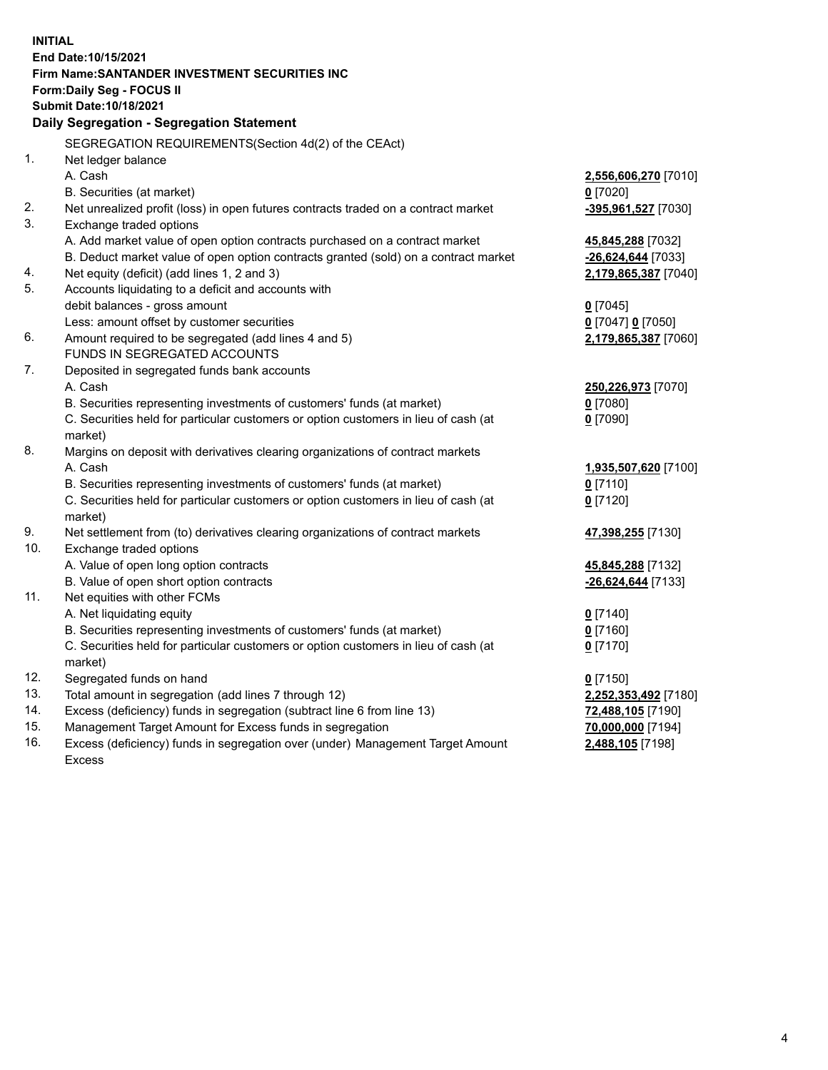| <b>INITIAL</b> |                                                                                     |                      |  |  |  |
|----------------|-------------------------------------------------------------------------------------|----------------------|--|--|--|
|                | End Date: 10/15/2021                                                                |                      |  |  |  |
|                | Firm Name: SANTANDER INVESTMENT SECURITIES INC                                      |                      |  |  |  |
|                | Form: Daily Seg - FOCUS II                                                          |                      |  |  |  |
|                | Submit Date: 10/18/2021                                                             |                      |  |  |  |
|                | Daily Segregation - Segregation Statement                                           |                      |  |  |  |
|                | SEGREGATION REQUIREMENTS(Section 4d(2) of the CEAct)                                |                      |  |  |  |
| 1.             | Net ledger balance                                                                  |                      |  |  |  |
|                | A. Cash                                                                             | 2,556,606,270 [7010] |  |  |  |
|                | B. Securities (at market)                                                           | $0$ [7020]           |  |  |  |
| 2.             | Net unrealized profit (loss) in open futures contracts traded on a contract market  | -395,961,527 [7030]  |  |  |  |
| 3.             | Exchange traded options                                                             |                      |  |  |  |
|                | A. Add market value of open option contracts purchased on a contract market         | 45,845,288 [7032]    |  |  |  |
|                | B. Deduct market value of open option contracts granted (sold) on a contract market | -26,624,644 [7033]   |  |  |  |
| 4.             | Net equity (deficit) (add lines 1, 2 and 3)                                         | 2,179,865,387 [7040] |  |  |  |
| 5.             | Accounts liquidating to a deficit and accounts with                                 |                      |  |  |  |
|                | debit balances - gross amount                                                       | $0$ [7045]           |  |  |  |
|                | Less: amount offset by customer securities                                          | 0 [7047] 0 [7050]    |  |  |  |
| 6.             | Amount required to be segregated (add lines 4 and 5)                                | 2,179,865,387 [7060] |  |  |  |
|                | FUNDS IN SEGREGATED ACCOUNTS                                                        |                      |  |  |  |
| 7.             | Deposited in segregated funds bank accounts                                         |                      |  |  |  |
|                | A. Cash                                                                             | 250,226,973 [7070]   |  |  |  |
|                | B. Securities representing investments of customers' funds (at market)              | $0$ [7080]           |  |  |  |
|                | C. Securities held for particular customers or option customers in lieu of cash (at | $0$ [7090]           |  |  |  |
|                | market)                                                                             |                      |  |  |  |
| 8.             | Margins on deposit with derivatives clearing organizations of contract markets      |                      |  |  |  |
|                | A. Cash                                                                             | 1,935,507,620 [7100] |  |  |  |
|                | B. Securities representing investments of customers' funds (at market)              | $0$ [7110]           |  |  |  |
|                | C. Securities held for particular customers or option customers in lieu of cash (at | $0$ [7120]           |  |  |  |
|                | market)                                                                             |                      |  |  |  |
| 9.             | Net settlement from (to) derivatives clearing organizations of contract markets     | 47,398,255 [7130]    |  |  |  |
| 10.            | Exchange traded options                                                             |                      |  |  |  |
|                | A. Value of open long option contracts                                              | 45,845,288 [7132]    |  |  |  |
|                | B. Value of open short option contracts                                             | $-26,624,644$ [7133] |  |  |  |
| 11.            | Net equities with other FCMs                                                        |                      |  |  |  |
|                | A. Net liquidating equity                                                           | $0$ [7140]           |  |  |  |
|                | B. Securities representing investments of customers' funds (at market)              | $0$ [7160]           |  |  |  |
|                | C. Securities held for particular customers or option customers in lieu of cash (at | $0$ [7170]           |  |  |  |
|                | market)                                                                             |                      |  |  |  |
| 12.            | Segregated funds on hand                                                            | $0$ [7150]           |  |  |  |
| 13.            | Total amount in segregation (add lines 7 through 12)                                | 2,252,353,492 [7180] |  |  |  |
| 14.            | Excess (deficiency) funds in segregation (subtract line 6 from line 13)             | 72,488,105 [7190]    |  |  |  |
| 15.            | Management Target Amount for Excess funds in segregation                            | 70,000,000 [7194]    |  |  |  |
| 16.            | Excess (deficiency) funds in segregation over (under) Management Target Amount      | 2,488,105 [7198]     |  |  |  |
|                | <b>Excess</b>                                                                       |                      |  |  |  |